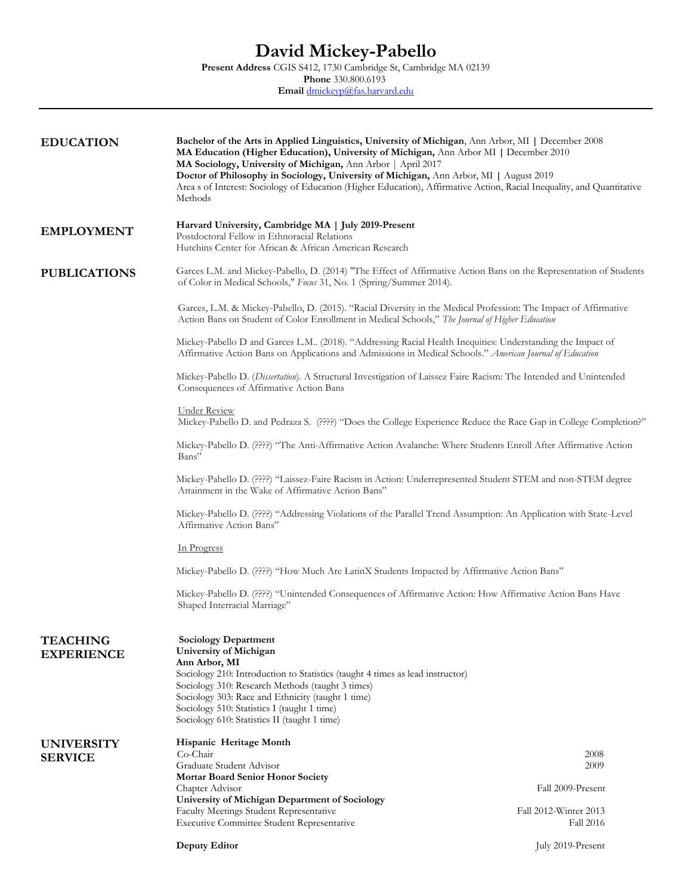| <b>EDUCATION</b>    | <b>Bachelor of the Arts in Applied Linguistics, University of Michigan, Ann Arbor, MI   December 2008</b><br>MA Education (Higher Education), University of Michigan, Ann Arbor MI   December 2010<br>MA Sociology, University of Michigan, Ann Arbor   April 2017<br>Doctor of Philosophy in Sociology, University of Michigan, Ann Arbor, MI   August 2019<br>Area s of Interest: Sociology of Education (Higher Education), Affirmative Action, Racial Inequality, and Quantitative<br>Methods                                                                                                                                                                                                              |                   |                                                                                                                                           |                                                                                                                                                                                                                                                                                                                                                                 |                                    |
|---------------------|----------------------------------------------------------------------------------------------------------------------------------------------------------------------------------------------------------------------------------------------------------------------------------------------------------------------------------------------------------------------------------------------------------------------------------------------------------------------------------------------------------------------------------------------------------------------------------------------------------------------------------------------------------------------------------------------------------------|-------------------|-------------------------------------------------------------------------------------------------------------------------------------------|-----------------------------------------------------------------------------------------------------------------------------------------------------------------------------------------------------------------------------------------------------------------------------------------------------------------------------------------------------------------|------------------------------------|
| <b>EMPLOYMENT</b>   | Harvard University, Cambridge MA   July 2019-Present<br>Postdoctoral Fellow in Ethnoracial Relations<br>Hutchins Center for African & African American Research                                                                                                                                                                                                                                                                                                                                                                                                                                                                                                                                                |                   |                                                                                                                                           |                                                                                                                                                                                                                                                                                                                                                                 |                                    |
| <b>PUBLICATIONS</b> | Garces L.M. and Mickey-Pabello, D. (2014) "The Effect of Affirmative Action Bans on the Representation of Students<br>of Color in Medical Schools," Focus 31, No. 1 (Spring/Summer 2014).                                                                                                                                                                                                                                                                                                                                                                                                                                                                                                                      |                   |                                                                                                                                           |                                                                                                                                                                                                                                                                                                                                                                 |                                    |
|                     | Garces, L.M. & Mickey-Pabello, D. (2015). "Racial Diversity in the Medical Profession: The Impact of Affirmative<br>Action Bans on Student of Color Enrollment in Medical Schools," The Journal of Higher Education                                                                                                                                                                                                                                                                                                                                                                                                                                                                                            |                   |                                                                                                                                           |                                                                                                                                                                                                                                                                                                                                                                 |                                    |
|                     | Mickey-Pabello D and Garces L.M (2018). "Addressing Racial Health Inequities: Understanding the Impact of<br>Affirmative Action Bans on Applications and Admissions in Medical Schools." American Journal of Education                                                                                                                                                                                                                                                                                                                                                                                                                                                                                         |                   |                                                                                                                                           |                                                                                                                                                                                                                                                                                                                                                                 |                                    |
|                     | Mickey-Pabello D. (Dissertation). A Structural Investigation of Laissez Faire Racism: The Intended and Unintended<br>Consequences of Affirmative Action Bans                                                                                                                                                                                                                                                                                                                                                                                                                                                                                                                                                   |                   |                                                                                                                                           |                                                                                                                                                                                                                                                                                                                                                                 |                                    |
|                     | <b>Under Review</b><br>Mickey-Pabello D. and Pedraza S. (????) "Does the College Experience Reduce the Race Gap in College Completion?"<br>Mickey-Pabello D. (????) "The Anti-Affirmative Action Avalanche: Where Students Enroll After Affirmative Action<br>Bans"<br>Mickey-Pabello D. (????) "Laissez-Faire Racism in Action: Underrepresented Student STEM and non-STEM degree<br>Attainment in the Wake of Affirmative Action Bans"<br>Mickey-Pabello D. (????) "Addressing Violations of the Parallel Trend Assumption: An Application with State-Level<br>Affirmative Action Bans"<br><u>In Progress</u><br>Mickey-Pabello D. (????) "How Much Are LatinX Students Impacted by Affirmative Action Bans" |                   |                                                                                                                                           |                                                                                                                                                                                                                                                                                                                                                                 |                                    |
|                     |                                                                                                                                                                                                                                                                                                                                                                                                                                                                                                                                                                                                                                                                                                                |                   | Mickey-Pabello D. (????) "Unintended Consequences of Affirmative Action: How Affirmative Action Bans Have<br>Shaped Interracial Marriage" |                                                                                                                                                                                                                                                                                                                                                                 |                                    |
|                     |                                                                                                                                                                                                                                                                                                                                                                                                                                                                                                                                                                                                                                                                                                                |                   | <b>TEACHING</b><br><b>EXPERIENCE</b>                                                                                                      | <b>Sociology Department</b><br>University of Michigan<br>Ann Arbor, MI<br>Sociology 210: Introduction to Statistics (taught 4 times as lead instructor)<br>Sociology 310: Research Methods (taught 3 times)<br>Sociology 303: Race and Ethnicity (taught 1 time)<br>Sociology 510: Statistics I (taught 1 time)<br>Sociology 610: Statistics II (taught 1 time) |                                    |
|                     |                                                                                                                                                                                                                                                                                                                                                                                                                                                                                                                                                                                                                                                                                                                |                   | <b>UNIVERSITY</b><br><b>SERVICE</b>                                                                                                       | Hispanic Heritage Month<br>Co-Chair<br>Graduate Student Advisor                                                                                                                                                                                                                                                                                                 | 2008<br>2009                       |
|                     |                                                                                                                                                                                                                                                                                                                                                                                                                                                                                                                                                                                                                                                                                                                |                   |                                                                                                                                           | Mortar Board Senior Honor Society<br>Chapter Advisor                                                                                                                                                                                                                                                                                                            | Fall 2009-Present                  |
|                     |                                                                                                                                                                                                                                                                                                                                                                                                                                                                                                                                                                                                                                                                                                                |                   |                                                                                                                                           | University of Michigan Department of Sociology<br>Faculty Meetings Student Representative<br><b>Executive Committee Student Representative</b>                                                                                                                                                                                                                  | Fall 2012-Winter 2013<br>Fall 2016 |
|                     | <b>Deputy Editor</b>                                                                                                                                                                                                                                                                                                                                                                                                                                                                                                                                                                                                                                                                                           | July 2019-Present |                                                                                                                                           |                                                                                                                                                                                                                                                                                                                                                                 |                                    |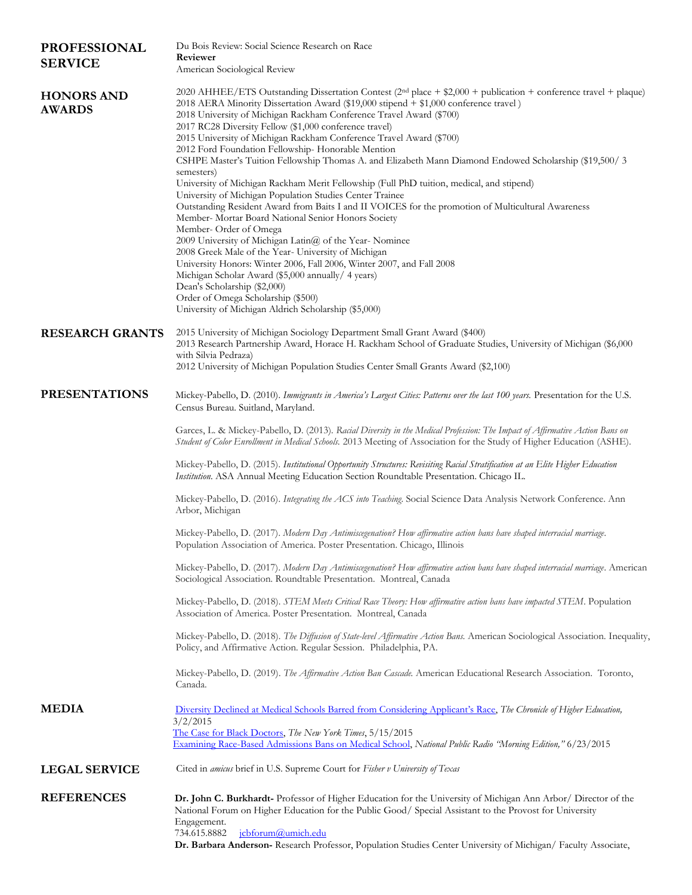| <b>PROFESSIONAL</b>                | Du Bois Review: Social Science Research on Race<br>Reviewer                                                                                                                                                                                                                                                                                                                                                                                                                                                                                                                                                                                                                                                                                                                                                                                                                                                                                                                                                                                                                                                                                                                                                                                                                                                                           |  |
|------------------------------------|---------------------------------------------------------------------------------------------------------------------------------------------------------------------------------------------------------------------------------------------------------------------------------------------------------------------------------------------------------------------------------------------------------------------------------------------------------------------------------------------------------------------------------------------------------------------------------------------------------------------------------------------------------------------------------------------------------------------------------------------------------------------------------------------------------------------------------------------------------------------------------------------------------------------------------------------------------------------------------------------------------------------------------------------------------------------------------------------------------------------------------------------------------------------------------------------------------------------------------------------------------------------------------------------------------------------------------------|--|
| <b>SERVICE</b>                     | American Sociological Review                                                                                                                                                                                                                                                                                                                                                                                                                                                                                                                                                                                                                                                                                                                                                                                                                                                                                                                                                                                                                                                                                                                                                                                                                                                                                                          |  |
| <b>HONORS AND</b><br><b>AWARDS</b> | 2020 AHHEE/ETS Outstanding Dissertation Contest (2 <sup>nd</sup> place + \$2,000 + publication + conference travel + plaque)<br>2018 AERA Minority Dissertation Award (\$19,000 stipend + \$1,000 conference travel)<br>2018 University of Michigan Rackham Conference Travel Award (\$700)<br>2017 RC28 Diversity Fellow (\$1,000 conference travel)<br>2015 University of Michigan Rackham Conference Travel Award (\$700)<br>2012 Ford Foundation Fellowship-Honorable Mention<br>CSHPE Master's Tuition Fellowship Thomas A. and Elizabeth Mann Diamond Endowed Scholarship (\$19,500/3<br>semesters)<br>University of Michigan Rackham Merit Fellowship (Full PhD tuition, medical, and stipend)<br>University of Michigan Population Studies Center Trainee<br>Outstanding Resident Award from Baits I and II VOICES for the promotion of Multicultural Awareness<br>Member- Mortar Board National Senior Honors Society<br>Member-Order of Omega<br>2009 University of Michigan Latin@ of the Year-Nominee<br>2008 Greek Male of the Year- University of Michigan<br>University Honors: Winter 2006, Fall 2006, Winter 2007, and Fall 2008<br>Michigan Scholar Award (\$5,000 annually/ 4 years)<br>Dean's Scholarship (\$2,000)<br>Order of Omega Scholarship (\$500)<br>University of Michigan Aldrich Scholarship (\$5,000) |  |
| <b>RESEARCH GRANTS</b>             | 2015 University of Michigan Sociology Department Small Grant Award (\$400)<br>2013 Research Partnership Award, Horace H. Rackham School of Graduate Studies, University of Michigan (\$6,000<br>with Silvia Pedraza)<br>2012 University of Michigan Population Studies Center Small Grants Award (\$2,100)                                                                                                                                                                                                                                                                                                                                                                                                                                                                                                                                                                                                                                                                                                                                                                                                                                                                                                                                                                                                                            |  |
| <b>PRESENTATIONS</b>               | Mickey-Pabello, D. (2010). Immigrants in America's Largest Cities: Patterns over the last 100 years. Presentation for the U.S.<br>Census Bureau. Suitland, Maryland.                                                                                                                                                                                                                                                                                                                                                                                                                                                                                                                                                                                                                                                                                                                                                                                                                                                                                                                                                                                                                                                                                                                                                                  |  |
|                                    | Garces, L. & Mickey-Pabello, D. (2013). Racial Diversity in the Medical Profession: The Impact of Affirmative Action Bans on<br>Student of Color Enrollment in Medical Schools. 2013 Meeting of Association for the Study of Higher Education (ASHE).                                                                                                                                                                                                                                                                                                                                                                                                                                                                                                                                                                                                                                                                                                                                                                                                                                                                                                                                                                                                                                                                                 |  |
|                                    | Mickey-Pabello, D. (2015). Institutional Opportunity Structures: Revisiting Racial Stratification at an Elite Higher Education<br>Institution. ASA Annual Meeting Education Section Roundtable Presentation. Chicago IL.                                                                                                                                                                                                                                                                                                                                                                                                                                                                                                                                                                                                                                                                                                                                                                                                                                                                                                                                                                                                                                                                                                              |  |
|                                    | Mickey-Pabello, D. (2016). Integrating the ACS into Teaching. Social Science Data Analysis Network Conference. Ann<br>Arbor, Michigan                                                                                                                                                                                                                                                                                                                                                                                                                                                                                                                                                                                                                                                                                                                                                                                                                                                                                                                                                                                                                                                                                                                                                                                                 |  |
|                                    | Mickey-Pabello, D. (2017). Modern Day Antimiscegenation? How affirmative action bans have shaped interracial marriage.<br>Population Association of America. Poster Presentation. Chicago, Illinois                                                                                                                                                                                                                                                                                                                                                                                                                                                                                                                                                                                                                                                                                                                                                                                                                                                                                                                                                                                                                                                                                                                                   |  |
|                                    | Mickey-Pabello, D. (2017). Modern Day Antimiscegenation? How affirmative action bans have shaped interracial marriage. American<br>Sociological Association. Roundtable Presentation. Montreal, Canada                                                                                                                                                                                                                                                                                                                                                                                                                                                                                                                                                                                                                                                                                                                                                                                                                                                                                                                                                                                                                                                                                                                                |  |
|                                    | Mickey-Pabello, D. (2018). STEM Meets Critical Race Theory: How affirmative action bans have impacted STEM. Population<br>Association of America. Poster Presentation. Montreal, Canada                                                                                                                                                                                                                                                                                                                                                                                                                                                                                                                                                                                                                                                                                                                                                                                                                                                                                                                                                                                                                                                                                                                                               |  |
|                                    | Mickey-Pabello, D. (2018). The Diffusion of State-level Affirmative Action Bans. American Sociological Association. Inequality,<br>Policy, and Affirmative Action. Regular Session. Philadelphia, PA.                                                                                                                                                                                                                                                                                                                                                                                                                                                                                                                                                                                                                                                                                                                                                                                                                                                                                                                                                                                                                                                                                                                                 |  |
|                                    | Mickey-Pabello, D. (2019). The Affirmative Action Ban Cascade. American Educational Research Association. Toronto,<br>Canada.                                                                                                                                                                                                                                                                                                                                                                                                                                                                                                                                                                                                                                                                                                                                                                                                                                                                                                                                                                                                                                                                                                                                                                                                         |  |
| <b>MEDIA</b>                       | Diversity Declined at Medical Schools Barred from Considering Applicant's Race, The Chronicle of Higher Education,<br>3/2/2015<br>The Case for Black Doctors, The New York Times, 5/15/2015<br>Examining Race-Based Admissions Bans on Medical School, National Public Radio "Morning Edition," 6/23/2015                                                                                                                                                                                                                                                                                                                                                                                                                                                                                                                                                                                                                                                                                                                                                                                                                                                                                                                                                                                                                             |  |
| <b>LEGAL SERVICE</b>               | Cited in amicus brief in U.S. Supreme Court for Fisher v University of Texas                                                                                                                                                                                                                                                                                                                                                                                                                                                                                                                                                                                                                                                                                                                                                                                                                                                                                                                                                                                                                                                                                                                                                                                                                                                          |  |
| <b>REFERENCES</b>                  | Dr. John C. Burkhardt- Professor of Higher Education for the University of Michigan Ann Arbor/ Director of the<br>National Forum on Higher Education for the Public Good/Special Assistant to the Provost for University<br>Engagement.<br>734.615.8882<br>jcbforum@umich.edu<br>Dr. Barbara Anderson- Research Professor, Population Studies Center University of Michigan/ Faculty Associate,                                                                                                                                                                                                                                                                                                                                                                                                                                                                                                                                                                                                                                                                                                                                                                                                                                                                                                                                       |  |